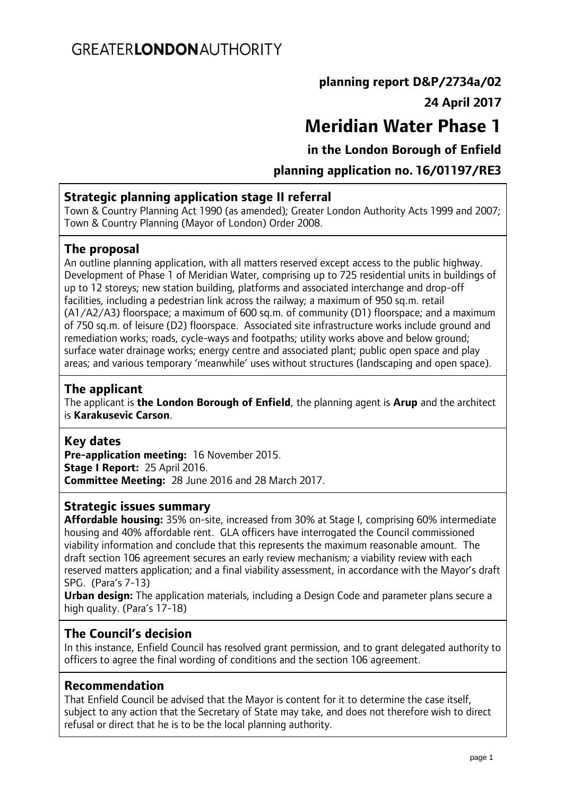## **planning report D&P/2734a/02 24 April 2017**

# **Meridian Water Phase 1**

**in the London Borough of Enfield** 

**planning application no. 16/01197/RE3** 

#### **Strategic planning application stage II referral**

Town & Country Planning Act 1990 (as amended); Greater London Authority Acts 1999 and 2007; Town & Country Planning (Mayor of London) Order 2008.

#### **The proposal**

An outline planning application, with all matters reserved except access to the public highway. Development of Phase 1 of Meridian Water, comprising up to 725 residential units in buildings of up to 12 storeys; new station building, platforms and associated interchange and drop-off facilities, including a pedestrian link across the railway; a maximum of 950 sq.m. retail (A1/A2/A3) floorspace; a maximum of 600 sq.m. of community (D1) floorspace; and a maximum of 750 sq.m. of leisure (D2) floorspace. Associated site infrastructure works include ground and remediation works; roads, cycle-ways and footpaths; utility works above and below ground; surface water drainage works; energy centre and associated plant; public open space and play areas; and various temporary 'meanwhile' uses without structures (landscaping and open space).

#### **The applicant**

The applicant is **the London Borough of Enfield**, the planning agent is **Arup** and the architect is **Karakusevic Carson**.

#### **Key dates**

**Pre-application meeting:** 16 November 2015. **Stage I Report:** 25 April 2016. **Committee Meeting:** 28 June 2016 and 28 March 2017.

#### **Strategic issues summary**

**Affordable housing:** 35% on-site, increased from 30% at Stage I, comprising 60% intermediate housing and 40% affordable rent. GLA officers have interrogated the Council commissioned viability information and conclude that this represents the maximum reasonable amount. The draft section 106 agreement secures an early review mechanism; a viability review with each reserved matters application; and a final viability assessment, in accordance with the Mayor's draft SPG. (Para's 7-13)

**Urban design:** The application materials, including a Design Code and parameter plans secure a high quality. (Para's 17-18)

#### **The Council's decision**

In this instance, Enfield Council has resolved grant permission, and to grant delegated authority to officers to agree the final wording of conditions and the section 106 agreement.

#### **Recommendation**

That Enfield Council be advised that the Mayor is content for it to determine the case itself, subject to any action that the Secretary of State may take, and does not therefore wish to direct refusal or direct that he is to be the local planning authority.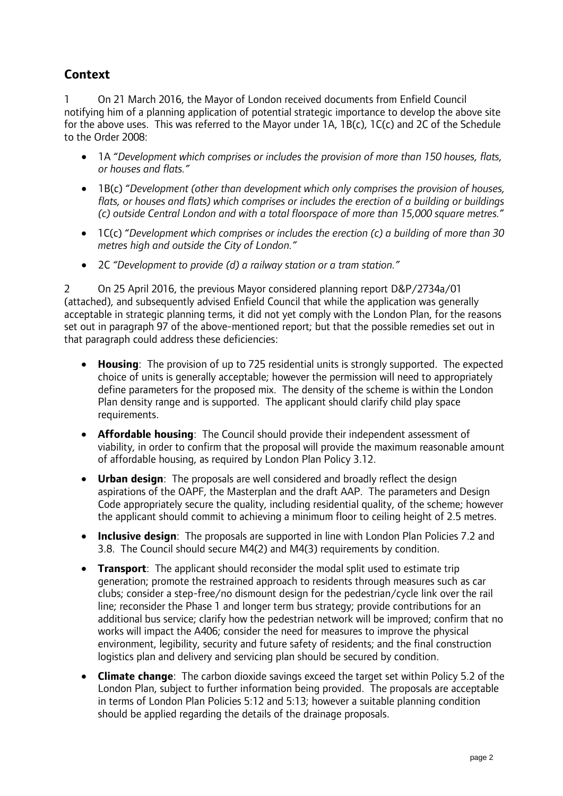## **Context**

1 On 21 March 2016, the Mayor of London received documents from Enfield Council notifying him of a planning application of potential strategic importance to develop the above site for the above uses. This was referred to the Mayor under 1A, 1B(c), 1C(c) and 2C of the Schedule to the Order 2008:

- 1A "*Development which comprises or includes the provision of more than 150 houses, flats, or houses and flats."*
- 1B(c) "*Development (other than development which only comprises the provision of houses, flats, or houses and flats) which comprises or includes the erection of a building or buildings (c) outside Central London and with a total floorspace of more than 15,000 square metres.*"
- 1C(c) "*Development which comprises or includes the erection (c) a building of more than 30 metres high and outside the City of London."*
- 2C *"Development to provide (d) a railway station or a tram station."*

2 On 25 April 2016, the previous Mayor considered planning report D&P/2734a/01 (attached), and subsequently advised Enfield Council that while the application was generally acceptable in strategic planning terms, it did not yet comply with the London Plan, for the reasons set out in paragraph 97 of the above-mentioned report; but that the possible remedies set out in that paragraph could address these deficiencies:

- **Housing**: The provision of up to 725 residential units is strongly supported. The expected choice of units is generally acceptable; however the permission will need to appropriately define parameters for the proposed mix. The density of the scheme is within the London Plan density range and is supported. The applicant should clarify child play space requirements.
- **Affordable housing**: The Council should provide their independent assessment of viability, in order to confirm that the proposal will provide the maximum reasonable amount of affordable housing, as required by London Plan Policy 3.12.
- **Urban design**: The proposals are well considered and broadly reflect the design aspirations of the OAPF, the Masterplan and the draft AAP. The parameters and Design Code appropriately secure the quality, including residential quality, of the scheme; however the applicant should commit to achieving a minimum floor to ceiling height of 2.5 metres.
- **Inclusive design**: The proposals are supported in line with London Plan Policies 7.2 and 3.8. The Council should secure M4(2) and M4(3) requirements by condition.
- **Transport**: The applicant should reconsider the modal split used to estimate trip generation; promote the restrained approach to residents through measures such as car clubs; consider a step-free/no dismount design for the pedestrian/cycle link over the rail line; reconsider the Phase 1 and longer term bus strategy; provide contributions for an additional bus service; clarify how the pedestrian network will be improved; confirm that no works will impact the A406; consider the need for measures to improve the physical environment, legibility, security and future safety of residents; and the final construction logistics plan and delivery and servicing plan should be secured by condition.
- **Climate change**: The carbon dioxide savings exceed the target set within Policy 5.2 of the London Plan, subject to further information being provided. The proposals are acceptable in terms of London Plan Policies 5:12 and 5:13; however a suitable planning condition should be applied regarding the details of the drainage proposals.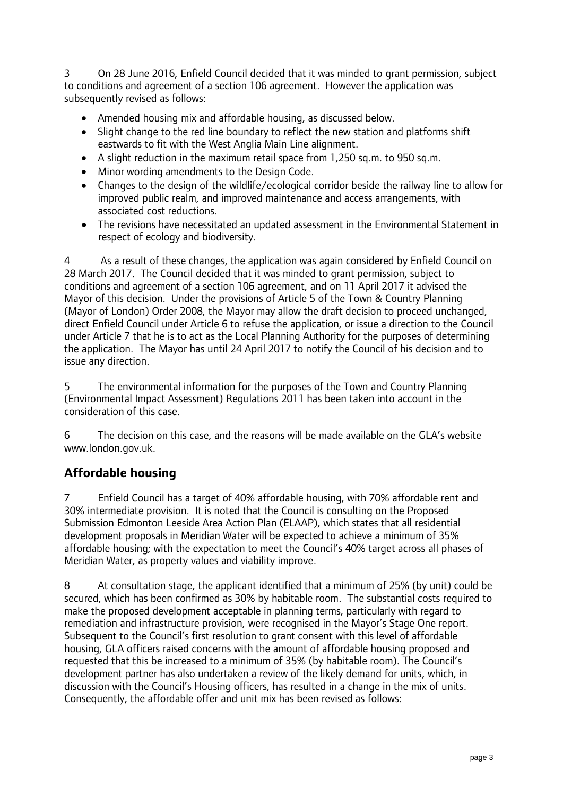3 On 28 June 2016, Enfield Council decided that it was minded to grant permission, subject to conditions and agreement of a section 106 agreement. However the application was subsequently revised as follows:

- Amended housing mix and affordable housing, as discussed below.
- Slight change to the red line boundary to reflect the new station and platforms shift eastwards to fit with the West Anglia Main Line alignment.
- A slight reduction in the maximum retail space from 1,250 sq.m. to 950 sq.m.
- Minor wording amendments to the Design Code.
- Changes to the design of the wildlife/ecological corridor beside the railway line to allow for improved public realm, and improved maintenance and access arrangements, with associated cost reductions.
- The revisions have necessitated an updated assessment in the Environmental Statement in respect of ecology and biodiversity.

4 As a result of these changes, the application was again considered by Enfield Council on 28 March 2017. The Council decided that it was minded to grant permission, subject to conditions and agreement of a section 106 agreement, and on 11 April 2017 it advised the Mayor of this decision. Under the provisions of Article 5 of the Town & Country Planning (Mayor of London) Order 2008, the Mayor may allow the draft decision to proceed unchanged, direct Enfield Council under Article 6 to refuse the application, or issue a direction to the Council under Article 7 that he is to act as the Local Planning Authority for the purposes of determining the application. The Mayor has until 24 April 2017 to notify the Council of his decision and to issue any direction.

5 The environmental information for the purposes of the Town and Country Planning (Environmental Impact Assessment) Regulations 2011 has been taken into account in the consideration of this case.

6 The decision on this case, and the reasons will be made available on the GLA's website www.london.gov.uk.

## **Affordable housing**

7 Enfield Council has a target of 40% affordable housing, with 70% affordable rent and 30% intermediate provision. It is noted that the Council is consulting on the Proposed Submission Edmonton Leeside Area Action Plan (ELAAP), which states that all residential development proposals in Meridian Water will be expected to achieve a minimum of 35% affordable housing; with the expectation to meet the Council's 40% target across all phases of Meridian Water, as property values and viability improve.

8 At consultation stage, the applicant identified that a minimum of 25% (by unit) could be secured, which has been confirmed as 30% by habitable room. The substantial costs required to make the proposed development acceptable in planning terms, particularly with regard to remediation and infrastructure provision, were recognised in the Mayor's Stage One report. Subsequent to the Council's first resolution to grant consent with this level of affordable housing, GLA officers raised concerns with the amount of affordable housing proposed and requested that this be increased to a minimum of 35% (by habitable room). The Council's development partner has also undertaken a review of the likely demand for units, which, in discussion with the Council's Housing officers, has resulted in a change in the mix of units. Consequently, the affordable offer and unit mix has been revised as follows: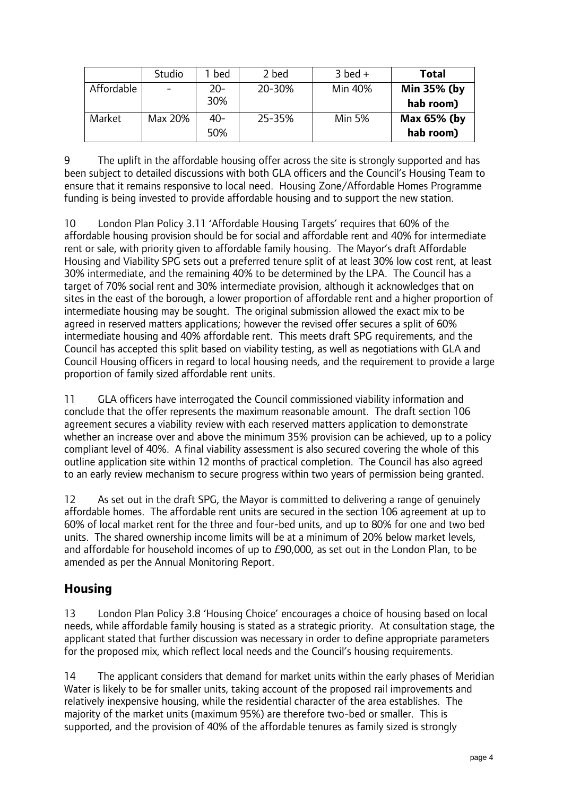|            | Studio                   | bed    | 2 bed  | $3$ bed +     | Total       |
|------------|--------------------------|--------|--------|---------------|-------------|
| Affordable | $\overline{\phantom{0}}$ | 20-    | 20-30% | Min 40%       | Min 35% (by |
|            |                          | 30%    |        |               | hab room)   |
| Market     | Max 20%                  | $40 -$ | 25-35% | <b>Min 5%</b> | Max 65% (by |
|            |                          | 50%    |        |               | hab room)   |

9 The uplift in the affordable housing offer across the site is strongly supported and has been subject to detailed discussions with both GLA officers and the Council's Housing Team to ensure that it remains responsive to local need. Housing Zone/Affordable Homes Programme funding is being invested to provide affordable housing and to support the new station.

10 London Plan Policy 3.11 'Affordable Housing Targets' requires that 60% of the affordable housing provision should be for social and affordable rent and 40% for intermediate rent or sale, with priority given to affordable family housing. The Mayor's draft Affordable Housing and Viability SPG sets out a preferred tenure split of at least 30% low cost rent, at least 30% intermediate, and the remaining 40% to be determined by the LPA. The Council has a target of 70% social rent and 30% intermediate provision, although it acknowledges that on sites in the east of the borough, a lower proportion of affordable rent and a higher proportion of intermediate housing may be sought. The original submission allowed the exact mix to be agreed in reserved matters applications; however the revised offer secures a split of 60% intermediate housing and 40% affordable rent. This meets draft SPG requirements, and the Council has accepted this split based on viability testing, as well as negotiations with GLA and Council Housing officers in regard to local housing needs, and the requirement to provide a large proportion of family sized affordable rent units.

11 GLA officers have interrogated the Council commissioned viability information and conclude that the offer represents the maximum reasonable amount. The draft section 106 agreement secures a viability review with each reserved matters application to demonstrate whether an increase over and above the minimum 35% provision can be achieved, up to a policy compliant level of 40%. A final viability assessment is also secured covering the whole of this outline application site within 12 months of practical completion. The Council has also agreed to an early review mechanism to secure progress within two years of permission being granted.

12 As set out in the draft SPG, the Mayor is committed to delivering a range of genuinely affordable homes. The affordable rent units are secured in the section 106 agreement at up to 60% of local market rent for the three and four-bed units, and up to 80% for one and two bed units. The shared ownership income limits will be at a minimum of 20% below market levels, and affordable for household incomes of up to £90,000, as set out in the London Plan, to be amended as per the Annual Monitoring Report.

## **Housing**

13 London Plan Policy 3.8 'Housing Choice' encourages a choice of housing based on local needs, while affordable family housing is stated as a strategic priority. At consultation stage, the applicant stated that further discussion was necessary in order to define appropriate parameters for the proposed mix, which reflect local needs and the Council's housing requirements.

14 The applicant considers that demand for market units within the early phases of Meridian Water is likely to be for smaller units, taking account of the proposed rail improvements and relatively inexpensive housing, while the residential character of the area establishes. The majority of the market units (maximum 95%) are therefore two-bed or smaller. This is supported, and the provision of 40% of the affordable tenures as family sized is strongly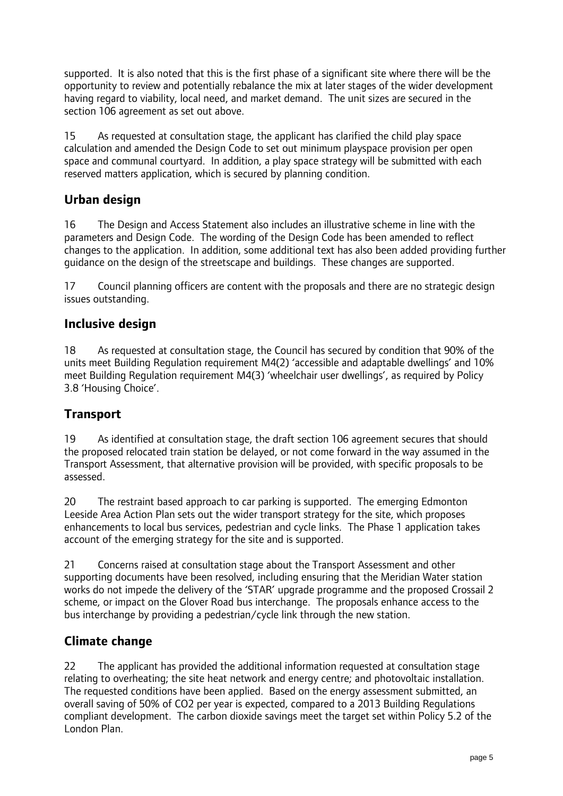supported. It is also noted that this is the first phase of a significant site where there will be the opportunity to review and potentially rebalance the mix at later stages of the wider development having regard to viability, local need, and market demand. The unit sizes are secured in the section 106 agreement as set out above.

15 As requested at consultation stage, the applicant has clarified the child play space calculation and amended the Design Code to set out minimum playspace provision per open space and communal courtyard. In addition, a play space strategy will be submitted with each reserved matters application, which is secured by planning condition.

## **Urban design**

16 The Design and Access Statement also includes an illustrative scheme in line with the parameters and Design Code. The wording of the Design Code has been amended to reflect changes to the application. In addition, some additional text has also been added providing further guidance on the design of the streetscape and buildings. These changes are supported.

17 Council planning officers are content with the proposals and there are no strategic design issues outstanding.

## **Inclusive design**

18 As requested at consultation stage, the Council has secured by condition that 90% of the units meet Building Regulation requirement M4(2) 'accessible and adaptable dwellings' and 10% meet Building Regulation requirement M4(3) 'wheelchair user dwellings', as required by Policy 3.8 'Housing Choice'.

#### **Transport**

19 As identified at consultation stage, the draft section 106 agreement secures that should the proposed relocated train station be delayed, or not come forward in the way assumed in the Transport Assessment, that alternative provision will be provided, with specific proposals to be assessed.

20 The restraint based approach to car parking is supported. The emerging Edmonton Leeside Area Action Plan sets out the wider transport strategy for the site, which proposes enhancements to local bus services, pedestrian and cycle links. The Phase 1 application takes account of the emerging strategy for the site and is supported.

21 Concerns raised at consultation stage about the Transport Assessment and other supporting documents have been resolved, including ensuring that the Meridian Water station works do not impede the delivery of the 'STAR' upgrade programme and the proposed Crossail 2 scheme, or impact on the Glover Road bus interchange. The proposals enhance access to the bus interchange by providing a pedestrian/cycle link through the new station.

#### **Climate change**

22 The applicant has provided the additional information requested at consultation stage relating to overheating; the site heat network and energy centre; and photovoltaic installation. The requested conditions have been applied. Based on the energy assessment submitted, an overall saving of 50% of CO2 per year is expected, compared to a 2013 Building Regulations compliant development. The carbon dioxide savings meet the target set within Policy 5.2 of the London Plan.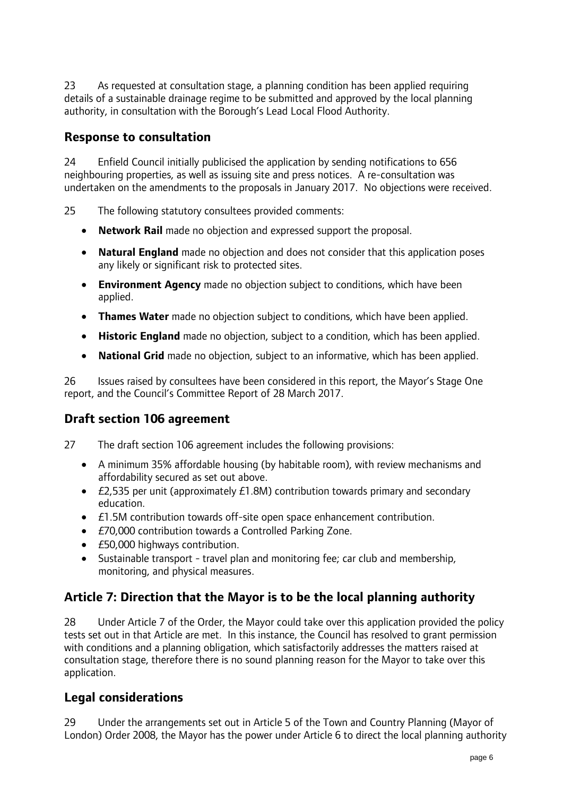23 As requested at consultation stage, a planning condition has been applied requiring details of a sustainable drainage regime to be submitted and approved by the local planning authority, in consultation with the Borough's Lead Local Flood Authority.

#### **Response to consultation**

24 Enfield Council initially publicised the application by sending notifications to 656 neighbouring properties, as well as issuing site and press notices. A re-consultation was undertaken on the amendments to the proposals in January 2017. No objections were received.

25 The following statutory consultees provided comments:

- **Network Rail** made no objection and expressed support the proposal.
- **Natural England** made no objection and does not consider that this application poses any likely or significant risk to protected sites.
- **Environment Agency** made no objection subject to conditions, which have been applied.
- **Thames Water** made no objection subject to conditions, which have been applied.
- **Historic England** made no objection, subject to a condition, which has been applied.
- **National Grid** made no objection, subject to an informative, which has been applied.

26 Issues raised by consultees have been considered in this report, the Mayor's Stage One report, and the Council's Committee Report of 28 March 2017.

## **Draft section 106 agreement**

27 The draft section 106 agreement includes the following provisions:

- A minimum 35% affordable housing (by habitable room), with review mechanisms and affordability secured as set out above.
- $\bullet$  £2,535 per unit (approximately £1.8M) contribution towards primary and secondary education.
- £1.5M contribution towards off-site open space enhancement contribution.
- *E70,000* contribution towards a Controlled Parking Zone.
- £50,000 highways contribution.
- Sustainable transport travel plan and monitoring fee; car club and membership, monitoring, and physical measures.

## **Article 7: Direction that the Mayor is to be the local planning authority**

28 Under Article 7 of the Order, the Mayor could take over this application provided the policy tests set out in that Article are met. In this instance, the Council has resolved to grant permission with conditions and a planning obligation, which satisfactorily addresses the matters raised at consultation stage, therefore there is no sound planning reason for the Mayor to take over this application.

#### **Legal considerations**

29 Under the arrangements set out in Article 5 of the Town and Country Planning (Mayor of London) Order 2008, the Mayor has the power under Article 6 to direct the local planning authority